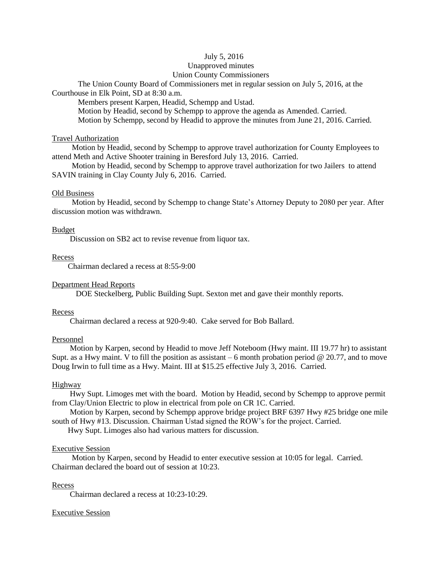### July 5, 2016

## Unapproved minutes

### Union County Commissioners

The Union County Board of Commissioners met in regular session on July 5, 2016, at the Courthouse in Elk Point, SD at 8:30 a.m.

Members present Karpen, Headid, Schempp and Ustad.

Motion by Headid, second by Schempp to approve the agenda as Amended. Carried. Motion by Schempp, second by Headid to approve the minutes from June 21, 2016. Carried.

### Travel Authorization

 Motion by Headid, second by Schempp to approve travel authorization for County Employees to attend Meth and Active Shooter training in Beresford July 13, 2016. Carried.

 Motion by Headid, second by Schempp to approve travel authorization for two Jailers to attend SAVIN training in Clay County July 6, 2016. Carried.

#### Old Business

 Motion by Headid, second by Schempp to change State's Attorney Deputy to 2080 per year. After discussion motion was withdrawn.

### Budget

Discussion on SB2 act to revise revenue from liquor tax.

### Recess

Chairman declared a recess at 8:55-9:00

### Department Head Reports

DOE Steckelberg, Public Building Supt. Sexton met and gave their monthly reports.

### Recess

Chairman declared a recess at 920-9:40. Cake served for Bob Ballard.

### Personnel

 Motion by Karpen, second by Headid to move Jeff Noteboom (Hwy maint. III 19.77 hr) to assistant Supt. as a Hwy maint. V to fill the position as assistant  $-6$  month probation period  $\omega$  20.77, and to move Doug Irwin to full time as a Hwy. Maint. III at \$15.25 effective July 3, 2016. Carried.

### Highway

 Hwy Supt. Limoges met with the board. Motion by Headid, second by Schempp to approve permit from Clay/Union Electric to plow in electrical from pole on CR 1C. Carried.

 Motion by Karpen, second by Schempp approve bridge project BRF 6397 Hwy #25 bridge one mile south of Hwy #13. Discussion. Chairman Ustad signed the ROW's for the project. Carried.

Hwy Supt. Limoges also had various matters for discussion.

#### Executive Session

 Motion by Karpen, second by Headid to enter executive session at 10:05 for legal. Carried. Chairman declared the board out of session at 10:23.

#### Recess

Chairman declared a recess at 10:23-10:29.

### Executive Session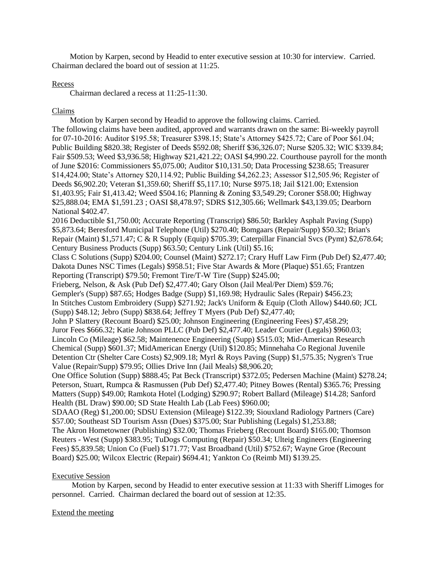Motion by Karpen, second by Headid to enter executive session at 10:30 for interview. Carried. Chairman declared the board out of session at 11:25.

### Recess

Chairman declared a recess at 11:25-11:30.

## Claims

 Motion by Karpen second by Headid to approve the following claims. Carried. The following claims have been audited, approved and warrants drawn on the same: Bi-weekly payroll for 07-10-2016: Auditor \$195.58; Treasurer \$398.15; State's Attorney \$425.72; Care of Poor \$61.04; Public Building \$820.38; Register of Deeds \$592.08; Sheriff \$36,326.07; Nurse \$205.32; WIC \$339.84; Fair \$509.53; Weed \$3,936.58; Highway \$21,421.22; OASI \$4,990.22. Courthouse payroll for the month of June \$2016: Commissioners \$5,075.00; Auditor \$10,131.50; Data Processing \$238.65; Treasurer \$14,424.00; State's Attorney \$20,114.92; Public Building \$4,262.23; Assessor \$12,505.96; Register of Deeds \$6,902.20; Veteran \$1,359.60; Sheriff \$5,117.10; Nurse \$975.18; Jail \$121.00; Extension \$1,403.95; Fair \$1,413.42; Weed \$504.16; Planning & Zoning \$3,549.29; Coroner \$58.00; Highway \$25,888.04; EMA \$1,591.23 ; OASI \$8,478.97; SDRS \$12,305.66; Wellmark \$43,139.05; Dearborn National \$402.47. 2016 Deductible \$1,750.00; Accurate Reporting (Transcript) \$86.50; Barkley Asphalt Paving (Supp) \$5,873.64; Beresford Municipal Telephone (Util) \$270.40; Bomgaars (Repair/Supp) \$50.32; Brian's Repair (Maint) \$1,571.47; C & R Supply (Equip) \$705.39; Caterpillar Financial Svcs (Pymt) \$2,678.64; Century Business Products (Supp) \$63.50; Century Link (Util) \$5.16; Class C Solutions (Supp) \$204.00; Counsel (Maint) \$272.17; Crary Huff Law Firm (Pub Def) \$2,477.40; Dakota Dunes NSC Times (Legals) \$958.51; Five Star Awards & More (Plaque) \$51.65; Frantzen Reporting (Transcript) \$79.50; Fremont Tire/T-W Tire (Supp) \$245.00; Frieberg, Nelson, & Ask (Pub Def) \$2,477.40; Gary Olson (Jail Meal/Per Diem) \$59.76; Gempler's (Supp) \$87.65; Hodges Badge (Supp) \$1,169.98; Hydraulic Sales (Repair) \$456.23; In Stitches Custom Embroidery (Supp) \$271.92; Jack's Uniform & Equip (Cloth Allow) \$440.60; JCL (Supp) \$48.12; Jebro (Supp) \$838.64; Jeffrey T Myers (Pub Def) \$2,477.40; John P Slattery (Recount Board) \$25.00; Johnson Engineering (Engineering Fees) \$7,458.29; Juror Fees \$666.32; Katie Johnson PLLC (Pub Def) \$2,477.40; Leader Courier (Legals) \$960.03; Lincoln Co (Mileage) \$62.58; Maintenence Engineering (Supp) \$515.03; Mid-American Research Chemical (Supp) \$601.37; MidAmerican Energy (Util) \$120.85; Minnehaha Co Regional Juvenile Detention Ctr (Shelter Care Costs) \$2,909.18; Myrl & Roys Paving (Supp) \$1,575.35; Nygren's True Value (Repair/Supp) \$79.95; Ollies Drive Inn (Jail Meals) \$8,906.20; One Office Solution (Supp) \$888.45; Pat Beck (Transcript) \$372.05; Pedersen Machine (Maint) \$278.24; Peterson, Stuart, Rumpca & Rasmussen (Pub Def) \$2,477.40; Pitney Bowes (Rental) \$365.76; Pressing Matters (Supp) \$49.00; Ramkota Hotel (Lodging) \$290.97; Robert Ballard (Mileage) \$14.28; Sanford Health (BL Draw) \$90.00; SD State Health Lab (Lab Fees) \$960.00; SDAAO (Reg) \$1,200.00; SDSU Extension (Mileage) \$122.39; Siouxland Radiology Partners (Care) \$57.00; Southeast SD Tourism Assn (Dues) \$375.00; Star Publishing (Legals) \$1,253.88; The Akron Hometowner (Publishing) \$32.00; Thomas Frieberg (Recount Board) \$165.00; Thomson Reuters - West (Supp) \$383.95; TuDogs Computing (Repair) \$50.34; Ulteig Engineers (Engineering Fees) \$5,839.58; Union Co (Fuel) \$171.77; Vast Broadband (Util) \$752.67; Wayne Groe (Recount

## Board) \$25.00; Wilcox Electric (Repair) \$694.41; Yankton Co (Reimb MI) \$139.25.

## Executive Session

 Motion by Karpen, second by Headid to enter executive session at 11:33 with Sheriff Limoges for personnel. Carried. Chairman declared the board out of session at 12:35.

## Extend the meeting